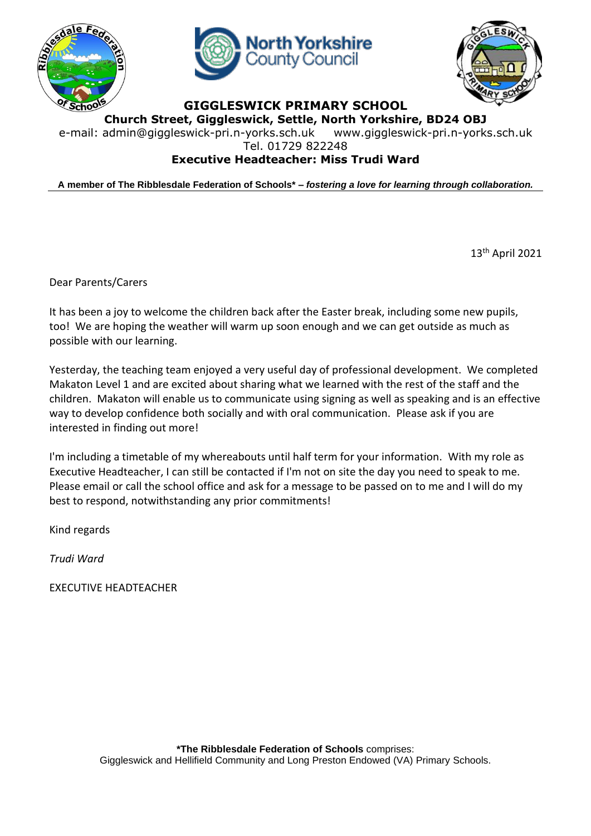





**GIGGLESWICK PRIMARY SCHOOL Church Street, Giggleswick, Settle, North Yorkshire, BD24 OBJ**

e-mail: [admin@giggleswick-pri.n-yorks.sch.uk](mailto:admin@giggleswick-pri.n-yorks.sch.uk) www.giggleswick-pri.n-yorks.sch.uk

Tel. 01729 822248

## **Executive Headteacher: Miss Trudi Ward**

**A member of The Ribblesdale Federation of Schools\* –** *fostering a love for learning through collaboration.*

13th April 2021

Dear Parents/Carers

It has been a joy to welcome the children back after the Easter break, including some new pupils, too! We are hoping the weather will warm up soon enough and we can get outside as much as possible with our learning.

Yesterday, the teaching team enjoyed a very useful day of professional development. We completed Makaton Level 1 and are excited about sharing what we learned with the rest of the staff and the children. Makaton will enable us to communicate using signing as well as speaking and is an effective way to develop confidence both socially and with oral communication. Please ask if you are interested in finding out more!

I'm including a timetable of my whereabouts until half term for your information. With my role as Executive Headteacher, I can still be contacted if I'm not on site the day you need to speak to me. Please email or call the school office and ask for a message to be passed on to me and I will do my best to respond, notwithstanding any prior commitments!

Kind regards

*Trudi Ward*

EXECUTIVE HEADTEACHER